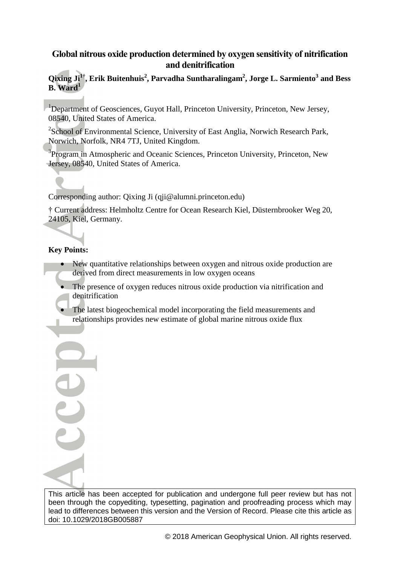# **Global nitrous oxide production determined by oxygen sensitivity of nitrification and denitrification**

# **Qixing Ji1† , Erik Buitenhuis<sup>2</sup> , Parvadha Suntharalingam<sup>2</sup> , Jorge L. Sarmiento<sup>3</sup> and Bess B. Ward<sup>1</sup>**

<sup>1</sup>Department of Geosciences, Guyot Hall, Princeton University, Princeton, New Jersey, 08540, United States of America.

<sup>2</sup>School of Environmental Science, University of East Anglia, Norwich Research Park, Norwich, Norfolk, NR4 7TJ, United Kingdom.

<sup>3</sup>Program in Atmospheric and Oceanic Sciences, Princeton University, Princeton, New Jersey, 08540, United States of America.

Corresponding author: Qixing Ji (qji@alumni.princeton.edu)

† Current address: Helmholtz Centre for Ocean Research Kiel, Düsternbrooker Weg 20, 24105, Kiel, Germany.

# **Key Points:**

UU

- New quantitative relationships between oxygen and nitrous oxide production are derived from direct measurements in low oxygen oceans
- The presence of oxygen reduces nitrous oxide production via nitrification and denitrification
- The latest biogeochemical model incorporating the field measurements and relationships provides new estimate of global marine nitrous oxide flux

This article has been accepted for publication and undergone full peer review but has not been through the copyediting, typesetting, pagination and proofreading process which may lead to differences between this version and the Version of Record. Please cite this article as doi: 10.1029/2018GB005887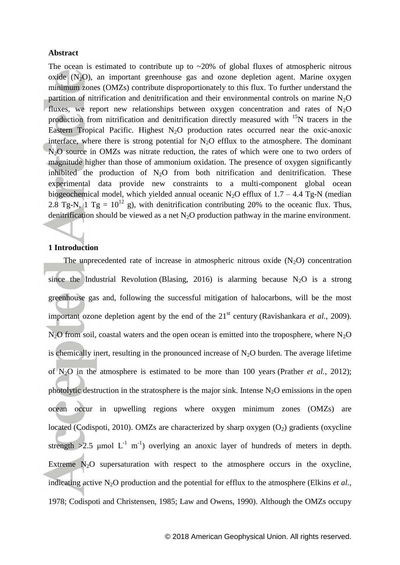#### **Abstract**

The ocean is estimated to contribute up to  $\sim$ 20% of global fluxes of atmospheric nitrous oxide  $(N_2O)$ , an important greenhouse gas and ozone depletion agent. Marine oxygen minimum zones (OMZs) contribute disproportionately to this flux. To further understand the partition of nitrification and denitrification and their environmental controls on marine  $N_2O$ fluxes, we report new relationships between oxygen concentration and rates of  $N_2O$ production from nitrification and denitrification directly measured with  $15N$  tracers in the Eastern Tropical Pacific. Highest  $N_2O$  production rates occurred near the oxic-anoxic interface, where there is strong potential for  $N<sub>2</sub>O$  efflux to the atmosphere. The dominant N<sub>2</sub>O source in OMZs was nitrate reduction, the rates of which were one to two orders of magnitude higher than those of ammonium oxidation. The presence of oxygen significantly inhibited the production of  $N_2O$  from both nitrification and denitrification. These experimental data provide new constraints to a multi-component global ocean biogeochemical model, which yielded annual oceanic N<sub>2</sub>O efflux of  $1.7 - 4.4$  Tg-N (median 2.8 Tg-N, 1 Tg =  $10^{12}$  g), with denitrification contributing 20% to the oceanic flux. Thus, denitrification should be viewed as a net  $N_2O$  production pathway in the marine environment.

# **1 Introduction**

The unprecedented rate of increase in atmospheric nitrous oxide  $(N_2O)$  concentration since the Industrial Revolution [\(Blasing, 2016\)](#page-19-0) is alarming because  $N_2O$  is a strong greenhouse gas and, following the successful mitigation of halocarbons, will be the most important ozone depletion agent by the end of the 21<sup>st</sup> century [\(Ravishankara](#page-21-0) *et al.*, 2009).  $N<sub>2</sub>O$  from soil, coastal waters and the open ocean is emitted into the troposphere, where  $N<sub>2</sub>O$ is chemically inert, resulting in the pronounced increase of  $N_2O$  burden. The average lifetime of N2O in the atmosphere is estimated to be more than 100 years [\(Prather](#page-21-1) *et al.*, 2012); photolytic destruction in the stratosphere is the major sink. Intense  $N_2O$  emissions in the open ocean occur in upwelling regions where oxygen minimum zones (OMZs) are located [\(Codispoti, 2010\)](#page-20-0). OMZs are characterized by sharp oxygen  $(O_2)$  gradients (oxycline strength  $>2.5$  µmol L<sup>-1</sup> m<sup>-1</sup>) overlying an anoxic layer of hundreds of meters in depth. Extreme  $N_2O$  supersaturation with respect to the atmosphere occurs in the oxycline, indicating active  $N_2O$  production and the potential for efflux to the atmosphere [\(Elkins](#page-20-1) *et al.*, [1978;](#page-20-1) [Codispoti and Christensen, 1985;](#page-20-2) [Law and Owens, 1990\)](#page-21-2). Although the OMZs occupy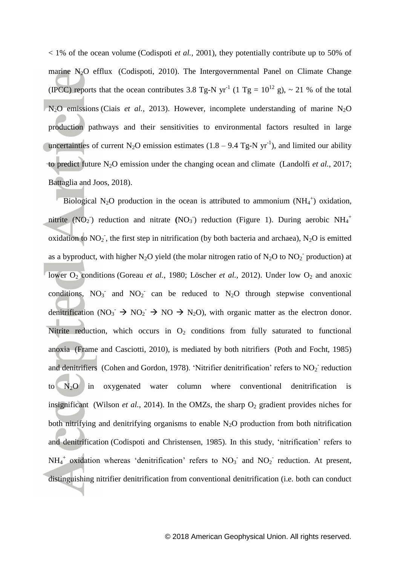< 1% of the ocean volume [\(Codispoti](#page-20-3) *et al.*, 2001), they potentially contribute up to 50% of marine  $N_2O$  efflux [\(Codispoti, 2010\)](#page-20-0). The Intergovernmental Panel on Climate Change (IPCC) reports that the ocean contributes 3.8 Tg-N yr<sup>-1</sup> (1 Tg =  $10^{12}$  g), ~ 21 % of the total  $N_2O$  emissions (Ciais *et al.*[, 2013\)](#page-20-4). However, incomplete understanding of marine  $N_2O$ production pathways and their sensitivities to environmental factors resulted in large uncertainties of current N<sub>2</sub>O emission estimates  $(1.8 - 9.4$  Tg-N yr<sup>-1</sup>), and limited our ability to predict future N2O emission under the changing ocean and climate [\(Landolfi](#page-21-3) *et al.*, 2017; [Battaglia and Joos, 2018\)](#page-19-1).

Biological N<sub>2</sub>O production in the ocean is attributed to ammonium  $(NH_4^+)$  oxidation, nitrite  $(NO<sub>2</sub>)$  reduction and nitrate  $(NO<sub>3</sub>)$  reduction (Figure 1). During aerobic  $NH<sub>4</sub>$ <sup>+</sup> oxidation to  $NO_2$ , the first step in nitrification (by both bacteria and archaea),  $N_2O$  is emitted as a byproduct, with higher N<sub>2</sub>O yield (the molar nitrogen ratio of N<sub>2</sub>O to NO<sub>2</sub><sup>-</sup> production) at lower O<sub>2</sub> conditions [\(Goreau](#page-20-5) *et al.*, 1980; [Löscher](#page-21-4) *et al.*, 2012). Under low O<sub>2</sub> and anoxic conditions,  $NO_3^-$  and  $NO_2^-$  can be reduced to  $N_2O$  through stepwise conventional denitrification (NO<sub>3</sub>  $\rightarrow$  NO<sub>2</sub>  $\rightarrow$  NO  $\rightarrow$  N<sub>2</sub>O), with organic matter as the electron donor. Nitrite reduction, which occurs in  $O<sub>2</sub>$  conditions from fully saturated to functional anoxia [\(Frame and Casciotti, 2010\)](#page-20-6), is mediated by both nitrifiers [\(Poth and Focht, 1985\)](#page-21-5) and denitrifiers [\(Cohen and Gordon, 1978\)](#page-20-7). 'Nitrifier denitrification' refers to  $NO<sub>2</sub>$  reduction to  $N_2O$  in oxygenated water column where conventional denitrification is insignificant [\(Wilson](#page-22-0) *et al.*, 2014). In the OMZs, the sharp  $O_2$  gradient provides niches for both nitrifying and denitrifying organisms to enable  $N_2O$  production from both nitrification and denitrification [\(Codispoti and Christensen, 1985\)](#page-20-2). In this study, 'nitrification' refers to  $NH_4^+$  oxidation whereas 'denitrification' refers to  $NO_3^-$  and  $NO_2^-$  reduction. At present, distinguishing nitrifier denitrification from conventional denitrification (i.e. both can conduct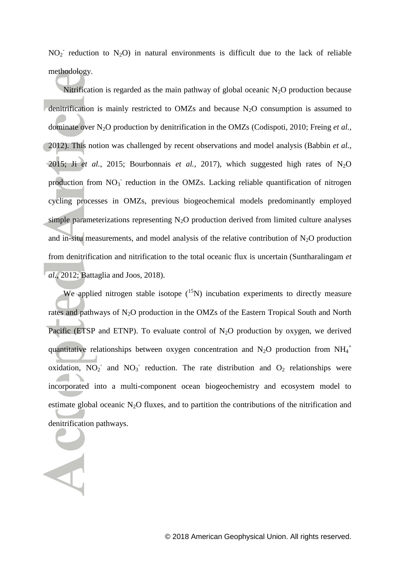$NO<sub>2</sub>$ <sup>-</sup> reduction to N<sub>2</sub>O) in natural environments is difficult due to the lack of reliable methodology.

Nitrification is regarded as the main pathway of global oceanic  $N_2O$  production because denitrification is mainly restricted to OMZs and because  $N_2O$  consumption is assumed to dominate over N2O production by denitrification in the OMZs [\(Codispoti, 2010;](#page-20-0) [Freing](#page-20-8) *et al.*, [2012\)](#page-20-8). This notion was challenged by recent observations and model analysis [\(Babbin](#page-19-2) *et al.*, [2015;](#page-19-2) Ji *et al.*[, 2015;](#page-20-9) [Bourbonnais](#page-19-3) *et al.*, 2017), which suggested high rates of  $N_2O$ production from NO<sub>3</sub> reduction in the OMZs. Lacking reliable quantification of nitrogen cycling processes in OMZs, previous biogeochemical models predominantly employed simple parameterizations representing  $N_2O$  production derived from limited culture analyses and in-situ measurements, and model analysis of the relative contribution of  $N_2O$  production from denitrification and nitrification to the total oceanic flux is uncertain [\(Suntharalingam](#page-22-1) *et al.*[, 2012;](#page-22-1) [Battaglia and Joos, 2018\)](#page-19-1).

We applied nitrogen stable isotope  $(^{15}N)$  incubation experiments to directly measure rates and pathways of N2O production in the OMZs of the Eastern Tropical South and North Pacific (ETSP and ETNP). To evaluate control of  $N_2O$  production by oxygen, we derived quantitative relationships between oxygen concentration and  $N_2O$  production from  $NH_4^+$ oxidation,  $\overline{NO_2}$  and  $\overline{NO_3}$  reduction. The rate distribution and  $O_2$  relationships were incorporated into a multi-component ocean biogeochemistry and ecosystem model to estimate global oceanic  $N_2O$  fluxes, and to partition the contributions of the nitrification and denitrification pathways.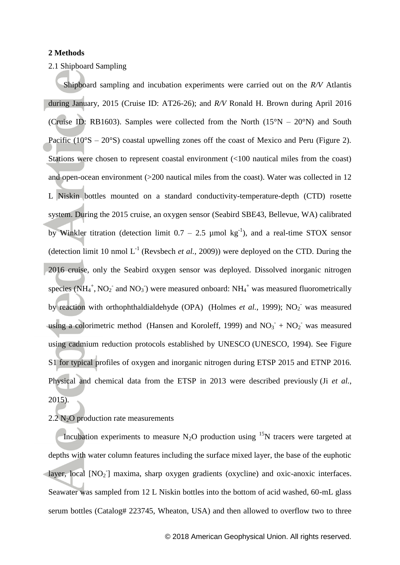#### **2 Methods**

# 2.1 Shipboard Sampling

Shipboard sampling and incubation experiments were carried out on the *R/V* Atlantis during January, 2015 (Cruise ID: AT26-26); and *R/V* Ronald H. Brown during April 2016 (Cruise ID: RB1603). Samples were collected from the North  $(15^{\circ}N - 20^{\circ}N)$  and South Pacific  $(10^{\circ}S - 20^{\circ}S)$  coastal upwelling zones off the coast of Mexico and Peru (Figure 2). Stations were chosen to represent coastal environment (<100 nautical miles from the coast) and open-ocean environment (>200 nautical miles from the coast). Water was collected in 12 L Niskin bottles mounted on a standard conductivity-temperature-depth (CTD) rosette system. During the 2015 cruise, an oxygen sensor (Seabird SBE43, Bellevue, WA) calibrated by Winkler titration (detection limit  $0.7 - 2.5$  µmol kg<sup>-1</sup>), and a real-time STOX sensor (detection limit 10 nmol  $L^{-1}$  [\(Revsbech](#page-21-6) *et al.*, 2009)) were deployed on the CTD. During the 2016 cruise, only the Seabird oxygen sensor was deployed. Dissolved inorganic nitrogen species  $(NH_4^+, NO_2^-$  and  $NO_3^-)$  were measured onboard:  $NH_4^+$  was measured fluorometrically by reaction with orthophthaldialdehyde (OPA) [\(Holmes](#page-20-10) *et al.*, 1999); NO<sub>2</sub> was measured using a colorimetric method [\(Hansen and Koroleff, 1999\)](#page-20-11) and  $NO<sub>3</sub><sup>-</sup> + NO<sub>2</sub><sup>-</sup>$  was measured using cadmium reduction protocols established by UNESCO [\(UNESCO, 1994\)](#page-22-2). See Figure S1 for typical profiles of oxygen and inorganic nitrogen during ETSP 2015 and ETNP 2016. Physical and chemical data from the ETSP in 2013 were described previously (Ji *[et al.](#page-20-9)*, [2015\)](#page-20-9).

## $2.2$  N<sub>2</sub>O production rate measurements

Incubation experiments to measure  $N_2O$  production using <sup>15</sup>N tracers were targeted at depths with water column features including the surface mixed layer, the base of the euphotic layer, local [NO<sub>2</sub>] maxima, sharp oxygen gradients (oxycline) and oxic-anoxic interfaces. Seawater was sampled from 12 L Niskin bottles into the bottom of acid washed, 60-mL glass serum bottles (Catalog# 223745, Wheaton, USA) and then allowed to overflow two to three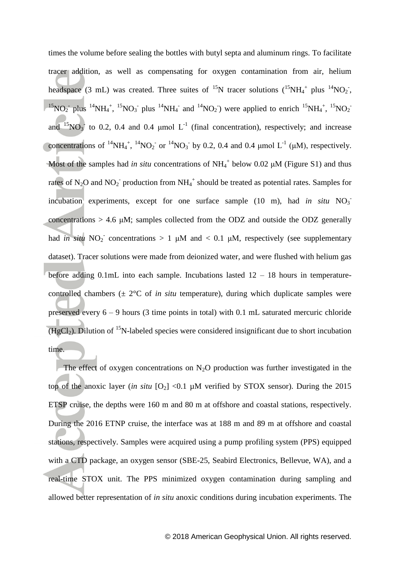times the volume before sealing the bottles with butyl septa and aluminum rings. To facilitate tracer addition, as well as compensating for oxygen contamination from air, helium headspace (3 mL) was created. Three suites of <sup>15</sup>N tracer solutions (<sup>15</sup>NH<sub>4</sub><sup>+</sup> plus <sup>14</sup>NO<sub>2</sub><sup>-</sup>, <sup>15</sup>NO<sub>2</sub> plus <sup>14</sup>NH<sub>4</sub><sup>+</sup>, <sup>15</sup>NO<sub>3</sub> plus <sup>14</sup>NH<sub>4</sub><sup>-</sup> and <sup>14</sup>NO<sub>2</sub>) were applied to enrich <sup>15</sup>NH<sub>4</sub><sup>+</sup>, <sup>15</sup>NO<sub>2</sub> and  $^{15}NO_3$  to 0.2, 0.4 and 0.4 µmol L<sup>-1</sup> (final concentration), respectively; and increase concentrations of <sup>14</sup>NH<sub>4</sub><sup>+</sup>, <sup>14</sup>NO<sub>2</sub><sup>-</sup> or <sup>14</sup>NO<sub>3</sub><sup>-</sup> by 0.2, 0.4 and 0.4 µmol L<sup>-1</sup> (µM), respectively. Most of the samples had *in situ* concentrations of  $NH_4^+$  below 0.02  $\mu$ M (Figure S1) and thus rates of N<sub>2</sub>O and NO<sub>2</sub><sup>-</sup> production from NH<sub>4</sub><sup>+</sup> should be treated as potential rates. Samples for incubation experiments, except for one surface sample (10 m), had *in situ* NO<sub>3</sub><sup>-</sup> concentrations > 4.6 μM; samples collected from the ODZ and outside the ODZ generally had *in situ*  $NO_2^-$  concentrations > 1  $\mu$ M and < 0.1  $\mu$ M, respectively (see supplementary dataset). Tracer solutions were made from deionized water, and were flushed with helium gas before adding 0.1mL into each sample. Incubations lasted 12 – 18 hours in temperaturecontrolled chambers (± 2°C of *in situ* temperature), during which duplicate samples were preserved every  $6 - 9$  hours (3 time points in total) with 0.1 mL saturated mercuric chloride  $(HgCl<sub>2</sub>)$ . Dilution of <sup>15</sup>N-labeled species were considered insignificant due to short incubation time.

The effect of oxygen concentrations on  $N_2O$  production was further investigated in the top of the anoxic layer (*in situ*  $[O_2] < 0.1$  µM verified by STOX sensor). During the 2015 ETSP cruise, the depths were 160 m and 80 m at offshore and coastal stations, respectively. During the 2016 ETNP cruise, the interface was at 188 m and 89 m at offshore and coastal stations, respectively. Samples were acquired using a pump profiling system (PPS) equipped with a CTD package, an oxygen sensor (SBE-25, Seabird Electronics, Bellevue, WA), and a real-time STOX unit. The PPS minimized oxygen contamination during sampling and allowed better representation of *in situ* anoxic conditions during incubation experiments. The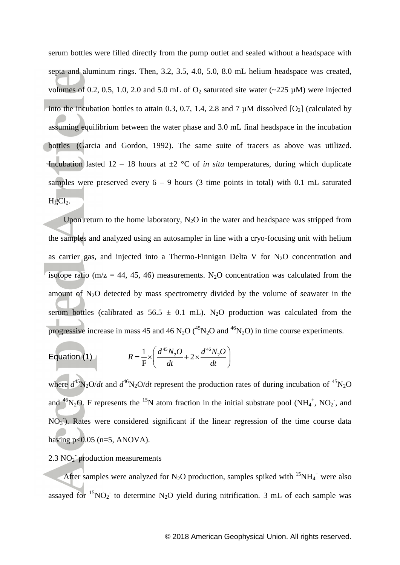serum bottles were filled directly from the pump outlet and sealed without a headspace with septa and aluminum rings. Then, 3.2, 3.5, 4.0, 5.0, 8.0 mL helium headspace was created, volumes of 0.2, 0.5, 1.0, 2.0 and 5.0 mL of  $O_2$  saturated site water (~225  $\mu$ M) were injected into the incubation bottles to attain 0.3, 0.7, 1.4, 2.8 and 7  $\mu$ M dissolved [O<sub>2</sub>] (calculated by assuming equilibrium between the water phase and 3.0 mL final headspace in the incubation bottles [\(Garcia and Gordon, 1992\)](#page-20-12). The same suite of tracers as above was utilized. Incubation lasted  $12 - 18$  hours at  $\pm 2$  °C of *in situ* temperatures, during which duplicate samples were preserved every  $6 - 9$  hours (3 time points in total) with 0.1 mL saturated  $HgCl<sub>2</sub>$ .

Upon return to the home laboratory,  $N_2O$  in the water and headspace was stripped from the samples and analyzed using an autosampler in line with a cryo-focusing unit with helium as carrier gas, and injected into a Thermo-Finnigan Delta V for  $N_2O$  concentration and isotope ratio ( $m/z = 44$ , 45, 46) measurements. N<sub>2</sub>O concentration was calculated from the amount of  $N_2O$  detected by mass spectrometry divided by the volume of seawater in the serum bottles (calibrated as  $56.5 \pm 0.1$  mL). N<sub>2</sub>O production was calculated from the progressive increase in mass 45 and 46 N<sub>2</sub>O (<sup>45</sup>N<sub>2</sub>O and <sup>46</sup>N<sub>2</sub>O) in time course experiments.

$$
\text{Equation (1)} \qquad \qquad R = \frac{1}{F} \times \left( \frac{d^{45} N_2 O}{dt} + 2 \times \frac{d^{46} N_2 O}{dt} \right)
$$

where  $d^{45}N_2O/dt$  and  $d^{46}N_2O/dt$  represent the production rates of during incubation of  ${}^{45}N_2O$ and <sup>46</sup>N<sub>2</sub>O. F represents the <sup>15</sup>N atom fraction in the initial substrate pool (NH<sub>4</sub><sup>+</sup>, NO<sub>2</sub><sup>-</sup>, and  $NO<sub>3</sub>$ ). Rates were considered significant if the linear regression of the time course data having  $p<0.05$  (n=5, ANOVA).

# 2.3  $NO<sub>2</sub>$  production measurements

After samples were analyzed for N<sub>2</sub>O production, samples spiked with  ${}^{15}NH_4$ <sup>+</sup> were also assayed for  ${}^{15}NO_2$  to determine N<sub>2</sub>O yield during nitrification. 3 mL of each sample was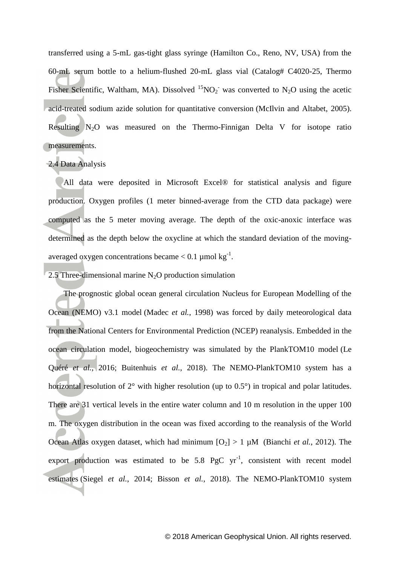transferred using a 5-mL gas-tight glass syringe (Hamilton Co., Reno, NV, USA) from the 60-mL serum bottle to a helium-flushed 20-mL glass vial (Catalog# C4020-25, Thermo Fisher Scientific, Waltham, MA). Dissolved  ${}^{15}NO_2$  was converted to N<sub>2</sub>O using the acetic acid-treated sodium azide solution for quantitative conversion [\(McIlvin and Altabet, 2005\)](#page-21-7). Resulting  $N_2O$  was measured on the Thermo-Finnigan Delta V for isotope ratio measurements.

## 2.4 Data Analysis

All data were deposited in Microsoft Excel® for statistical analysis and figure production. Oxygen profiles (1 meter binned-average from the CTD data package) were computed as the 5 meter moving average. The depth of the oxic-anoxic interface was determined as the depth below the oxycline at which the standard deviation of the movingaveraged oxygen concentrations became  $< 0.1$  µmol kg<sup>-1</sup>.

2.5 Three-dimensional marine  $N_2O$  production simulation

The prognostic global ocean general circulation Nucleus for European Modelling of the Ocean (NEMO) v3.1 model [\(Madec](#page-21-8) *et al.*, 1998) was forced by daily meteorological data from the National Centers for Environmental Prediction (NCEP) reanalysis. Embedded in the ocean circulation model, biogeochemistry was simulated by the PlankTOM10 model [\(Le](#page-21-9)  Quéré *et al.*[, 2016;](#page-21-9) [Buitenhuis](#page-19-4) *et al.*, 2018). The NEMO-PlankTOM10 system has a horizontal resolution of 2° with higher resolution (up to 0.5°) in tropical and polar latitudes. There are 31 vertical levels in the entire water column and 10 m resolution in the upper 100 m. The oxygen distribution in the ocean was fixed according to the reanalysis of the World Ocean Atlas oxygen dataset, which had minimum  $[O_2] > 1 \mu M$  [\(Bianchi](#page-19-5) *et al.*, 2012). The export production was estimated to be  $5.8$  PgC yr<sup>-1</sup>, consistent with recent model estimates (Siegel *et al.*[, 2014;](#page-22-3) Bisson *et al.*[, 2018\)](#page-19-6). The NEMO-PlankTOM10 system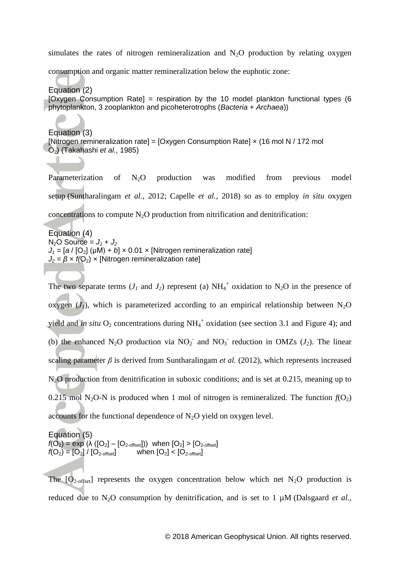simulates the rates of nitrogen remineralization and  $N_2O$  production by relating oxygen

consumption and organic matter remineralization below the euphotic zone:

Equation (2) [Oxygen Consumption Rate] = respiration by the 10 model plankton functional types (6 phytoplankton, 3 zooplankton and picoheterotrophs (*Bacteria* + *Archaea*))

Equation (3) [Nitrogen remineralization rate] = [Oxygen Consumption Rate]  $\times$  (16 mol N / 172 mol O2) [\(Takahashi](#page-22-4) *et al.*, 1985)

Parameterization of N<sub>2</sub>O production was modified from previous model setup [\(Suntharalingam](#page-22-1) *et al.*, 2012; [Capelle](#page-19-7) *et al.*, 2018) so as to employ *in situ* oxygen concentrations to compute  $N_2O$  production from nitrification and denitrification:

Equation (4)  $N_2$ O Source =  $J_1 + J_2$  $J_1 = [a / [O_2] (\mu M) + b] \times 0.01 \times [Nitrogen remineralization rate]$  $J_2 = \beta \times f(O_2) \times$  [Nitrogen remineralization rate]

The two separate terms  $(J_1 \text{ and } J_2)$  represent (a)  $NH_4^+$  oxidation to N<sub>2</sub>O in the presence of oxygen  $(J<sub>1</sub>)$ , which is parameterized according to an empirical relationship between N<sub>2</sub>O yield and *in situ*  $O_2$  concentrations during  $NH_4^+$  oxidation (see section 3.1 and Figure 4); and (b) the enhanced N<sub>2</sub>O production via  $NO_2^-$  and  $NO_3^-$  reduction in OMZs ( $J_2$ ). The linear scaling parameter  $\beta$  is derived from [Suntharalingam](#page-22-1) *et al.* (2012), which represents increased N<sub>2</sub>O production from denitrification in suboxic conditions; and is set at 0.215, meaning up to 0.215 mol N<sub>2</sub>O-N is produced when 1 mol of nitrogen is remineralized. The function  $f(O_2)$ accounts for the functional dependence of  $N_2O$  yield on oxygen level.

Equation (5)  $f(O_2) = exp (\lambda ( [O_2] - [O_{2\text{-offset}}])$  when  $[O_2] > [O_{2\text{-offset}}]$  $f(O_2) = [O_2] / [O_{2\text{-offset}}]$  when  $[O_2] < [O_{2\text{-offset}}]$ 

The  $[O_{2\text{-offset}}]$  represents the oxygen concentration below which net N<sub>2</sub>O production is reduced due to  $N_2O$  consumption by denitrification, and is set to 1  $\mu$ M [\(Dalsgaard](#page-20-13) *et al.*,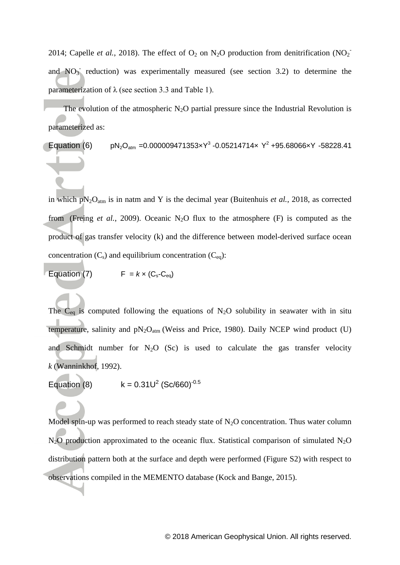[2014;](#page-20-13) [Capelle](#page-19-7) *et al.*, 2018). The effect of  $O_2$  on  $N_2O$  production from denitrification (NO<sub>2</sub>) and  $NO<sub>3</sub>$  reduction) was experimentally measured (see section 3.2) to determine the parameterization of  $\lambda$  (see section 3.3 and Table 1).

The evolution of the atmospheric  $N_2O$  partial pressure since the Industrial Revolution is parameterized as:

Equation (6)  $pN_2O_{atm} = 0.000009471353 \times Y^3 - 0.05214714 \times Y^2 + 95.68066 \times Y - 58228.41$ 

in which  $pN_2O_{atm}$  is in natm and Y is the decimal year [\(Buitenhuis](#page-19-3) *et al.*, 2018, as corrected from (Freing *et al.*[, 2009\)](#page-20-14). Oceanic N<sub>2</sub>O flux to the atmosphere (F) is computed as the product of gas transfer velocity (k) and the difference between model-derived surface ocean concentration  $(C_s)$  and equilibrium concentration  $(C_{eq})$ :

Equation (7)  $F = k \times (C_s - C_{eq})$ 

The  $C_{eq}$  is computed following the equations of N<sub>2</sub>O solubility in seawater with in situ temperature, salinity and  $pN_2O_{atm}$  [\(Weiss and Price, 1980\)](#page-22-5). Daily NCEP wind product (U) and Schmidt number for  $N_2O$  (Sc) is used to calculate the gas transfer velocity *k* [\(Wanninkhof, 1992\)](#page-22-6).

Equation (8) 
$$
k = 0.31U^2 (Sc/660)^{-0.5}
$$

Model spin-up was performed to reach steady state of  $N_2O$  concentration. Thus water column  $N_2O$  production approximated to the oceanic flux. Statistical comparison of simulated  $N_2O$ distribution pattern both at the surface and depth were performed (Figure S2) with respect to observations compiled in the MEMENTO database [\(Kock and Bange, 2015\)](#page-21-10).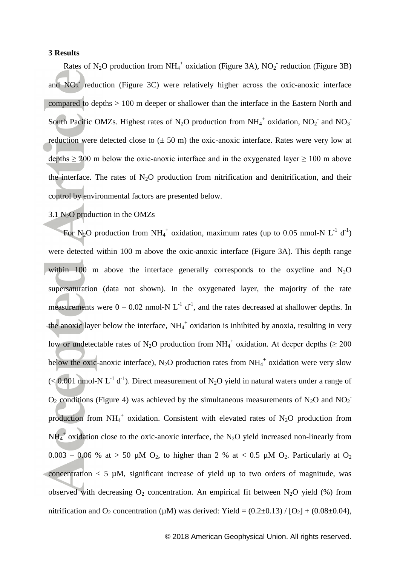### **3 Results**

Rates of N<sub>2</sub>O production from NH<sub>4</sub><sup>+</sup> oxidation (Figure 3A), NO<sub>2</sub><sup>-</sup> reduction (Figure 3B) and  $NO<sub>3</sub>$  reduction (Figure 3C) were relatively higher across the oxic-anoxic interface compared to depths > 100 m deeper or shallower than the interface in the Eastern North and South Pacific OMZs. Highest rates of N<sub>2</sub>O production from NH<sub>4</sub><sup>+</sup> oxidation, NO<sub>2</sub><sup>-</sup> and NO<sub>3</sub><sup>-</sup> reduction were detected close to  $(\pm 50 \text{ m})$  the oxic-anoxic interface. Rates were very low at depths  $> 200$  m below the oxic-anoxic interface and in the oxygenated layer  $> 100$  m above the interface. The rates of  $N_2O$  production from nitrification and denitrification, and their control by environmental factors are presented below.

### $3.1$  N<sub>2</sub>O production in the OMZs

For N<sub>2</sub>O production from NH<sub>4</sub><sup>+</sup> oxidation, maximum rates (up to 0.05 nmol-N L<sup>-1</sup> d<sup>-1</sup>) were detected within 100 m above the oxic-anoxic interface (Figure 3A). This depth range within 100 m above the interface generally corresponds to the oxycline and  $N_2O$ supersaturation (data not shown). In the oxygenated layer, the majority of the rate measurements were  $0 - 0.02$  nmol-N  $L^{-1}$  d<sup>-1</sup>, and the rates decreased at shallower depths. In the anoxic layer below the interface,  $NH_4^+$  oxidation is inhibited by anoxia, resulting in very low or undetectable rates of N<sub>2</sub>O production from NH<sub>4</sub><sup>+</sup> oxidation. At deeper depths ( $\geq 200$ ) below the oxic-anoxic interface),  $N_2O$  production rates from  $NH_4^+$  oxidation were very slow  $(< 0.001$  nmol-N L<sup>-1</sup> d<sup>-1</sup>). Direct measurement of N<sub>2</sub>O yield in natural waters under a range of  $O_2$  conditions (Figure 4) was achieved by the simultaneous measurements of N<sub>2</sub>O and NO<sub>2</sub> production from  $NH_4^+$  oxidation. Consistent with elevated rates of N<sub>2</sub>O production from  $NH_4^+$  oxidation close to the oxic-anoxic interface, the N<sub>2</sub>O yield increased non-linearly from 0.003 – 0.06 % at > 50 µM O<sub>2</sub>, to higher than 2 % at < 0.5 µM O<sub>2</sub>. Particularly at O<sub>2</sub>  $\alpha$  concentration  $\alpha$  5  $\mu$ M, significant increase of yield up to two orders of magnitude, was observed with decreasing  $O_2$  concentration. An empirical fit between N<sub>2</sub>O yield (%) from nitrification and O<sub>2</sub> concentration ( $\mu$ M) was derived: Yield = (0.2±0.13) / [O<sub>2</sub>] + (0.08±0.04),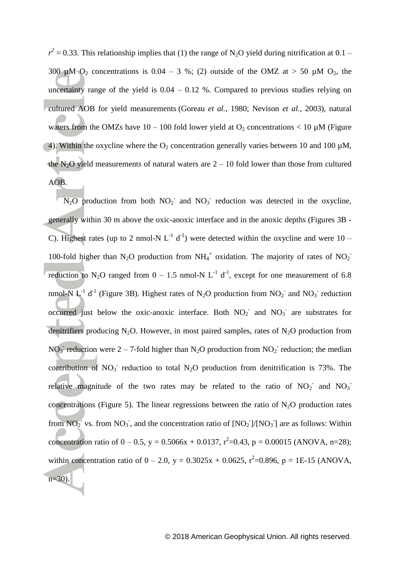$r^2$  = 0.33. This relationship implies that (1) the range of N<sub>2</sub>O yield during nitrification at 0.1 – 300  $\mu$ M O<sub>2</sub> concentrations is 0.04 – 3 %; (2) outside of the OMZ at > 50  $\mu$ M O<sub>2</sub>, the uncertainty range of the yield is  $0.04 - 0.12$  %. Compared to previous studies relying on cultured AOB for yield measurements [\(Goreau](#page-20-5) *et al.*, 1980; [Nevison](#page-21-11) *et al.*, 2003), natural waters from the OMZs have  $10 - 100$  fold lower yield at  $O_2$  concentrations < 10 µM (Figure 4). Within the oxycline where the  $O_2$  concentration generally varies between 10 and 100  $\mu$ M, the  $N_2O$  yield measurements of natural waters are  $2 - 10$  fold lower than those from cultured AOB.

 $N_2O$  production from both  $NO_2^-$  and  $NO_3^-$  reduction was detected in the oxycline, generally within 30 m above the oxic-anoxic interface and in the anoxic depths (Figures 3B - C). Highest rates (up to 2 nmol-N  $L^{-1}$  d<sup>-1</sup>) were detected within the oxycline and were 10 – 100-fold higher than N<sub>2</sub>O production from NH<sub>4</sub><sup>+</sup> oxidation. The majority of rates of NO<sub>2</sub><sup>-</sup> reduction to N<sub>2</sub>O ranged from  $0 - 1.5$  nmol-N L<sup>-1</sup> d<sup>-1</sup>, except for one measurement of 6.8 nmol-N L<sup>-1</sup> d<sup>-1</sup> (Figure 3B). Highest rates of N<sub>2</sub>O production from NO<sub>2</sub><sup>-</sup> and NO<sub>3</sub><sup>-</sup> reduction occurred just below the oxic-anoxic interface. Both  $NO<sub>2</sub>$  and  $NO<sub>3</sub>$  are substrates for denitrifiers producing N<sub>2</sub>O. However, in most paired samples, rates of N<sub>2</sub>O production from NO<sub>3</sub> reduction were 2 – 7-fold higher than N<sub>2</sub>O production from NO<sub>2</sub> reduction; the median contribution of  $NO_3$ <sup>-</sup> reduction to total  $N_2O$  production from denitrification is 73%. The relative magnitude of the two rates may be related to the ratio of  $NO_2^-$  and  $NO_3^$ concentrations (Figure 5). The linear regressions between the ratio of  $N_2O$  production rates from  $NO_2^-$  vs. from  $NO_3^-$ , and the concentration ratio of  $[NO_2^-]/[NO_3^-]$  are as follows: Within concentration ratio of  $0 - 0.5$ ,  $y = 0.5066x + 0.0137$ ,  $r^2 = 0.43$ ,  $p = 0.00015$  (ANOVA, n=28); within concentration ratio of  $0 - 2.0$ ,  $y = 0.3025x + 0.0625$ ,  $r^2 = 0.896$ ,  $p = 1E-15$  (ANOVA,  $n=30$ ).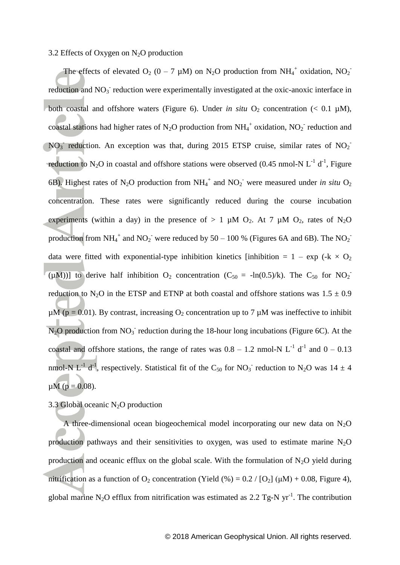#### 3.2 Effects of Oxygen on  $N_2O$  production

The effects of elevated  $O_2$  (0 – 7 µM) on N<sub>2</sub>O production from NH<sub>4</sub><sup>+</sup> oxidation, NO<sub>2</sub><sup>-</sup> reduction and NO<sub>3</sub> reduction were experimentally investigated at the oxic-anoxic interface in both coastal and offshore waters (Figure 6). Under *in situ*  $O_2$  concentration (< 0.1  $\mu$ M), coastal stations had higher rates of N<sub>2</sub>O production from NH<sub>4</sub><sup>+</sup> oxidation, NO<sub>2</sub><sup>-</sup> reduction and  $NO<sub>3</sub>$  reduction. An exception was that, during 2015 ETSP cruise, similar rates of  $NO<sub>2</sub>$ reduction to N<sub>2</sub>O in coastal and offshore stations were observed (0.45 nmol-N  $L^{-1}$  d<sup>-1</sup>, Figure 6B). Highest rates of N<sub>2</sub>O production from NH<sub>4</sub><sup>+</sup> and NO<sub>2</sub><sup>-</sup> were measured under *in situ* O<sub>2</sub> concentration. These rates were significantly reduced during the course incubation experiments (within a day) in the presence of  $> 1 \mu M O_2$ . At 7  $\mu M O_2$ , rates of N<sub>2</sub>O production from NH<sub>4</sub><sup>+</sup> and NO<sub>2</sub><sup>-</sup> were reduced by 50 – 100 % (Figures 6A and 6B). The NO<sub>2</sub><sup>-</sup> data were fitted with exponential-type inhibition kinetics [inhibition =  $1 - \exp (+k \times 0_2)$  $(\mu M))$ ] to derive half inhibition O<sub>2</sub> concentration (C<sub>50</sub> = -ln(0.5)/k). The C<sub>50</sub> for NO<sub>2</sub> reduction to N<sub>2</sub>O in the ETSP and ETNP at both coastal and offshore stations was  $1.5 \pm 0.9$  $\mu$ M (p = 0.01). By contrast, increasing O<sub>2</sub> concentration up to 7  $\mu$ M was ineffective to inhibit  $N_2O$  production from  $NO_3^-$  reduction during the 18-hour long incubations (Figure 6C). At the coastal and offshore stations, the range of rates was  $0.8 - 1.2$  nmol-N L<sup>-1</sup> d<sup>-1</sup> and  $0 - 0.13$ nmol-N L<sup>-1</sup> d<sup>-1</sup>, respectively. Statistical fit of the C<sub>50</sub> for NO<sub>3</sub><sup>-</sup> reduction to N<sub>2</sub>O was 14  $\pm$  4  $\mu$ M (p = 0.08).

## 3.3 Global oceanic  $N_2O$  production

A three-dimensional ocean biogeochemical model incorporating our new data on  $N_2O$ production pathways and their sensitivities to oxygen, was used to estimate marine  $N_2O$ production and oceanic efflux on the global scale. With the formulation of  $N_2O$  yield during nitrification as a function of O<sub>2</sub> concentration (Yield  $\left(\% \right) = 0.2 / [O_2] (\mu M) + 0.08$ , Figure 4), global marine N<sub>2</sub>O efflux from nitrification was estimated as 2.2 Tg-N  $yr^{-1}$ . The contribution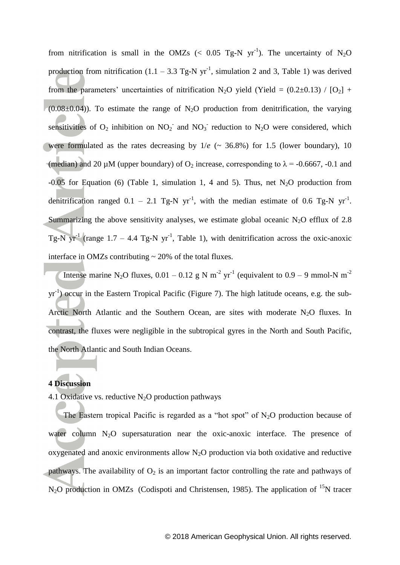from nitrification is small in the OMZs (< 0.05 Tg-N yr<sup>-1</sup>). The uncertainty of N<sub>2</sub>O production from nitrification  $(1.1 - 3.3$  Tg-N yr<sup>-1</sup>, simulation 2 and 3, Table 1) was derived from the parameters' uncertainties of nitrification N<sub>2</sub>O yield (Yield =  $(0.2\pm0.13)$  / [O<sub>2</sub>] + (0.08 $\pm$ 0.04)). To estimate the range of N<sub>2</sub>O production from denitrification, the varying sensitivities of  $O_2$  inhibition on  $NO_2^-$  and  $NO_3^-$  reduction to  $N_2O$  were considered, which were formulated as the rates decreasing by  $1/e$  ( $\sim$  36.8%) for 1.5 (lower boundary), 10 (median) and 20 µM (upper boundary) of  $O_2$  increase, corresponding to  $\lambda$  = -0.6667, -0.1 and -0.05 for Equation (6) (Table 1, simulation 1, 4 and 5). Thus, net  $N_2O$  production from denitrification ranged  $0.1 - 2.1$  Tg-N yr<sup>-1</sup>, with the median estimate of 0.6 Tg-N yr<sup>-1</sup>. Summarizing the above sensitivity analyses, we estimate global oceanic  $N_2O$  efflux of 2.8 Tg-N  $yr^{-1}$  (range 1.7 – 4.4 Tg-N  $yr^{-1}$ , Table 1), with denitrification across the oxic-anoxic interface in OMZs contributing  $\sim$  20% of the total fluxes.

Intense marine N<sub>2</sub>O fluxes,  $0.01 - 0.12$  g N m<sup>-2</sup> yr<sup>-1</sup> (equivalent to  $0.9 - 9$  mmol-N m<sup>-2</sup> yr<sup>-1</sup>) occur in the Eastern Tropical Pacific (Figure 7). The high latitude oceans, e.g. the sub-Arctic North Atlantic and the Southern Ocean, are sites with moderate  $N<sub>2</sub>O$  fluxes. In contrast, the fluxes were negligible in the subtropical gyres in the North and South Pacific, the North Atlantic and South Indian Oceans.

## **4 Discussion**

#### 4.1 Oxidative vs. reductive  $N_2O$  production pathways

The Eastern tropical Pacific is regarded as a "hot spot" of  $N_2O$  production because of water column  $N_2O$  supersaturation near the oxic-anoxic interface. The presence of oxygenated and anoxic environments allow  $N_2O$  production via both oxidative and reductive pathways. The availability of  $O_2$  is an important factor controlling the rate and pathways of N<sub>2</sub>O production in OMZs [\(Codispoti and Christensen, 1985\)](#page-20-2). The application of <sup>15</sup>N tracer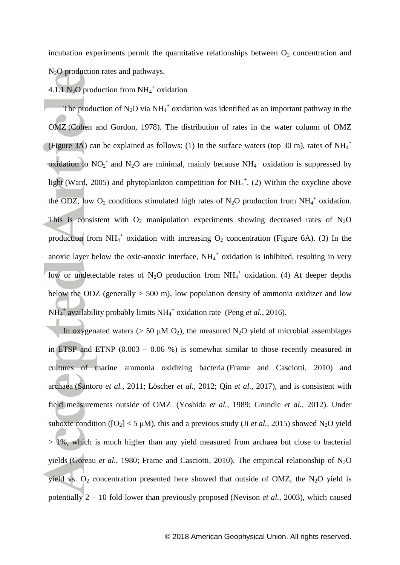incubation experiments permit the quantitative relationships between  $O<sub>2</sub>$  concentration and N<sub>2</sub>O production rates and pathways.

# 4.1.1 N<sub>2</sub>O production from NH<sub>4</sub><sup>+</sup> oxidation

The production of  $N_2O$  via  $NH_4^+$  oxidation was identified as an important pathway in the OMZ [\(Cohen and Gordon, 1978\)](#page-20-7). The distribution of rates in the water column of OMZ (Figure 3A) can be explained as follows: (1) In the surface waters (top 30 m), rates of  $NH_4^+$ oxidation to  $NO_2$  and  $N_2O$  are minimal, mainly because  $NH_4$ <sup>+</sup> oxidation is suppressed by light [\(Ward, 2005\)](#page-22-7) and phytoplankton competition for  $NH_4^+$ . (2) Within the oxycline above the ODZ, low  $O_2$  conditions stimulated high rates of N<sub>2</sub>O production from NH<sub>4</sub><sup>+</sup> oxidation. This is consistent with  $O_2$  manipulation experiments showing decreased rates of N<sub>2</sub>O production from  $NH_4^+$  oxidation with increasing  $O_2$  concentration (Figure 6A). (3) In the anoxic layer below the oxic-anoxic interface,  $NH_4^+$  oxidation is inhibited, resulting in very low or undetectable rates of N<sub>2</sub>O production from NH<sub>4</sub><sup>+</sup> oxidation. (4) At deeper depths below the ODZ (generally  $> 500$  m), low population density of ammonia oxidizer and low  $NH_4^+$  availability probably limits  $NH_4^+$  oxidation rate (Peng *et al.*[, 2016\)](#page-21-12).

In oxygenated waters ( $> 50 \mu M O_2$ ), the measured N<sub>2</sub>O yield of microbial assemblages in ETSP and ETNP  $(0.003 - 0.06 %)$  is somewhat similar to those recently measured in cultures of marine ammonia oxidizing bacteria [\(Frame and Casciotti, 2010\)](#page-20-6) and archaea [\(Santoro](#page-21-13) *et al.*, 2011; [Löscher](#page-21-4) *et al.*, 2012; Qin *et al.*[, 2017\)](#page-21-14), and is consistent with field measurements outside of OMZ [\(Yoshida](#page-22-8) *et al.*, 1989; [Grundle](#page-20-15) *et al.*, 2012). Under suboxic condition ( $[O_2] < 5 \mu M$ ), this and a previous study (Ji *et al.*[, 2015\)](#page-20-9) showed N<sub>2</sub>O yield > 1%, which is much higher than any yield measured from archaea but close to bacterial yields [\(Goreau](#page-20-5) *et al.*, 1980; [Frame and Casciotti, 2010\)](#page-20-6). The empirical relationship of  $N_2O$ yield vs.  $O_2$  concentration presented here showed that outside of OMZ, the N<sub>2</sub>O yield is potentially 2 – 10 fold lower than previously proposed [\(Nevison](#page-21-11) *et al.*, 2003), which caused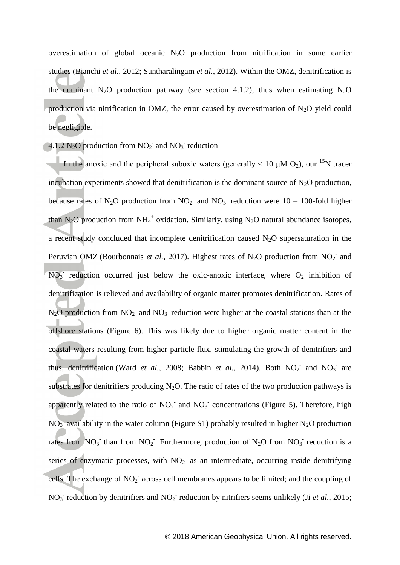overestimation of global oceanic  $N_2O$  production from nitrification in some earlier studies [\(Bianchi](#page-19-5) *et al.*, 2012; [Suntharalingam](#page-22-1) *et al.*, 2012). Within the OMZ, denitrification is the dominant N<sub>2</sub>O production pathway (see section 4.1.2); thus when estimating N<sub>2</sub>O production via nitrification in OMZ, the error caused by overestimation of  $N_2O$  yield could be negligible.

4.1.2 N<sub>2</sub>O production from  $NO_2^-$  and  $NO_3^-$  reduction

In the anoxic and the peripheral suboxic waters (generally < 10  $\mu$ M O<sub>2</sub>), our <sup>15</sup>N tracer incubation experiments showed that denitrification is the dominant source of  $N_2O$  production, because rates of N<sub>2</sub>O production from NO<sub>2</sub><sup>-</sup> and NO<sub>3</sub><sup>-</sup> reduction were 10 – 100-fold higher than N<sub>2</sub>O production from NH<sub>4</sub><sup>+</sup> oxidation. Similarly, using N<sub>2</sub>O natural abundance isotopes, a recent study concluded that incomplete denitrification caused  $N_2O$  supersaturation in the Peruvian OMZ [\(Bourbonnais](#page-19-3) *et al.*, 2017). Highest rates of N<sub>2</sub>O production from  $NO<sub>2</sub>$ <sup>-</sup> and  $NO_3$  reduction occurred just below the oxic-anoxic interface, where  $O_2$  inhibition of denitrification is relieved and availability of organic matter promotes denitrification. Rates of  $N_2O$  production from  $NO_2^-$  and  $NO_3^-$  reduction were higher at the coastal stations than at the offshore stations (Figure 6). This was likely due to higher organic matter content in the coastal waters resulting from higher particle flux, stimulating the growth of denitrifiers and thus, denitrification (Ward *et al.*[, 2008;](#page-22-9) [Babbin](#page-19-8) *et al.*, 2014). Both  $NO_2^-$  and  $NO_3^-$  are substrates for denitrifiers producing  $N_2O$ . The ratio of rates of the two production pathways is apparently related to the ratio of  $NO<sub>2</sub>$  and  $NO<sub>3</sub>$  concentrations (Figure 5). Therefore, high  $NO<sub>3</sub>$  availability in the water column (Figure S1) probably resulted in higher N<sub>2</sub>O production rates from  $NO_3$ <sup>-</sup> than from  $NO_2$ <sup>-</sup>. Furthermore, production of  $N_2O$  from  $NO_3$ <sup>-</sup> reduction is a series of enzymatic processes, with  $NO<sub>2</sub>$  as an intermediate, occurring inside denitrifying cells. The exchange of  $NO<sub>2</sub>$  across cell membranes appears to be limited; and the coupling of  $NO<sub>3</sub>$ <sup>-</sup> reduction by denitrifiers and  $NO<sub>2</sub>$ <sup>-</sup> reduction by nitrifiers seems unlikely (Ji *et al.*[, 2015;](#page-20-9)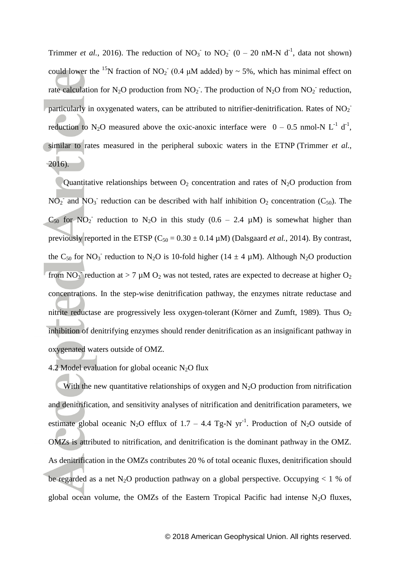[Trimmer](#page-22-10) *et al.*, 2016). The reduction of  $NO_3$ <sup>-</sup> to  $NO_2$ <sup>-</sup> (0 – 20 nM-N d<sup>-1</sup>, data not shown) could lower the <sup>15</sup>N fraction of NO<sub>2</sub><sup>-</sup> (0.4  $\mu$ M added) by ~ 5%, which has minimal effect on rate calculation for N<sub>2</sub>O production from NO<sub>2</sub>. The production of N<sub>2</sub>O from NO<sub>2</sub><sup>-</sup> reduction, particularly in oxygenated waters, can be attributed to nitrifier-denitrification. Rates of  $NO<sub>2</sub>$ reduction to N<sub>2</sub>O measured above the oxic-anoxic interface were  $0 - 0.5$  nmol-N L<sup>-1</sup> d<sup>-1</sup>, similar to rates measured in the peripheral suboxic waters in the ETNP [\(Trimmer](#page-22-10) *et al.*, [2016\)](#page-22-10).

Quantitative relationships between  $O_2$  concentration and rates of N<sub>2</sub>O production from  $NO<sub>2</sub>$  and  $NO<sub>3</sub>$  reduction can be described with half inhibition  $O<sub>2</sub>$  concentration (C<sub>50</sub>). The  $C_{50}$  for NO<sub>2</sub><sup>-</sup> reduction to N<sub>2</sub>O in this study (0.6 – 2.4 µM) is somewhat higher than previously reported in the ETSP  $(C_{50} = 0.30 \pm 0.14 \mu M)$  [\(Dalsgaard](#page-20-13) *et al.*, 2014). By contrast, the C<sub>50</sub> for NO<sub>3</sub> reduction to N<sub>2</sub>O is 10-fold higher (14  $\pm$  4  $\mu$ M). Although N<sub>2</sub>O production from  $NO_3$  reduction at > 7  $\mu$ M  $O_2$  was not tested, rates are expected to decrease at higher  $O_2$ concentrations. In the step-wise denitrification pathway, the enzymes nitrate reductase and nitrite reductase are progressively less oxygen-tolerant [\(Körner and Zumft, 1989\)](#page-21-15). Thus  $O<sub>2</sub>$ inhibition of denitrifying enzymes should render denitrification as an insignificant pathway in oxygenated waters outside of OMZ.

### 4.2 Model evaluation for global oceanic  $N_2O$  flux

With the new quantitative relationships of oxygen and  $N<sub>2</sub>O$  production from nitrification and denitrification, and sensitivity analyses of nitrification and denitrification parameters, we estimate global oceanic N<sub>2</sub>O efflux of 1.7 – 4.4 Tg-N yr<sup>-1</sup>. Production of N<sub>2</sub>O outside of OMZs is attributed to nitrification, and denitrification is the dominant pathway in the OMZ. As denitrification in the OMZs contributes 20 % of total oceanic fluxes, denitrification should be regarded as a net N<sub>2</sub>O production pathway on a global perspective. Occupying  $< 1$  % of global ocean volume, the OMZs of the Eastern Tropical Pacific had intense  $N_2O$  fluxes,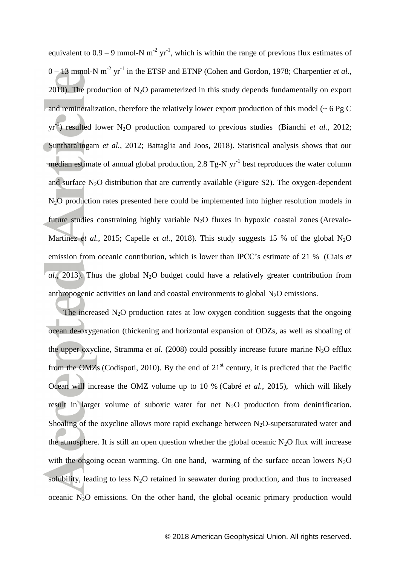equivalent to  $0.9 - 9$  mmol-N m<sup>-2</sup> yr<sup>-1</sup>, which is within the range of previous flux estimates of  $0-13$  mmol-N m<sup>-2</sup> yr<sup>-1</sup> in the ETSP and ETNP [\(Cohen and Gordon, 1978;](#page-20-7) [Charpentier](#page-19-9) *et al.*, [2010\)](#page-19-9). The production of  $N_2O$  parameterized in this study depends fundamentally on export and remineralization, therefore the relatively lower export production of this model ( $\sim 6$  Pg C  $yr^{-1}$ ) resulted lower N<sub>2</sub>O production compared to previous studies [\(Bianchi](#page-19-5) *et al.*, 2012; [Suntharalingam](#page-22-1) *et al.*, 2012; [Battaglia and Joos, 2018\)](#page-19-1). Statistical analysis shows that our median estimate of annual global production, 2.8 Tg-N  $yr^{-1}$  best reproduces the water column and surface  $N_2O$  distribution that are currently available (Figure S2). The oxygen-dependent N2O production rates presented here could be implemented into higher resolution models in future studies constraining highly variable  $N_2O$  fluxes in hypoxic coastal zones [\(Arevalo-](#page-19-10)[Martinez](#page-19-10) *et al.*, 2015; [Capelle](#page-19-7) *et al.*, 2018). This study suggests 15 % of the global N<sub>2</sub>O emission from oceanic contribution, which is lower than IPCC's estimate of 21 % [\(Ciais](#page-20-4) *et*)  $\overline{al}$ .[, 2013\)](#page-20-4). Thus the global N<sub>2</sub>O budget could have a relatively greater contribution from anthropogenic activities on land and coastal environments to global  $N<sub>2</sub>O$  emissions.

The increased  $N_2O$  production rates at low oxygen condition suggests that the ongoing ocean de-oxygenation (thickening and horizontal expansion of ODZs, as well as shoaling of the upper oxycline, [Stramma](#page-22-11) *et al.* (2008) could possibly increase future marine N<sub>2</sub>O efflux from the OMZs [\(Codispoti, 2010\)](#page-20-0). By the end of  $21<sup>st</sup>$  century, it is predicted that the Pacific Ocean will increase the OMZ volume up to 10 % (Cabré *et al.*[, 2015\)](#page-19-11), which will likely result in larger volume of suboxic water for net  $N_2O$  production from denitrification. Shoaling of the oxycline allows more rapid exchange between  $N_2O$ -supersaturated water and the atmosphere. It is still an open question whether the global oceanic  $N_2O$  flux will increase with the ongoing ocean warming. On one hand, warming of the surface ocean lowers  $N_2O$ solubility, leading to less  $N_2O$  retained in seawater during production, and thus to increased oceanic  $N_2$ O emissions. On the other hand, the global oceanic primary production would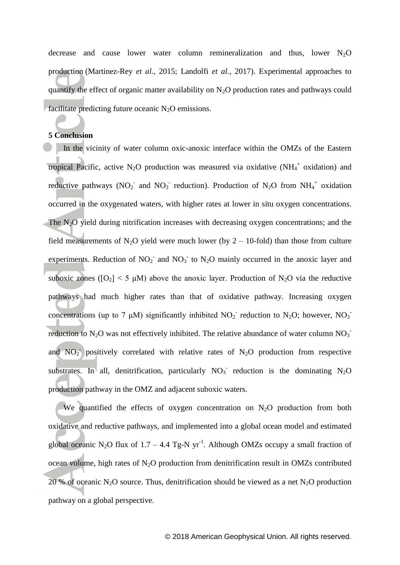decrease and cause lower water column remineralization and thus, lower N<sub>2</sub>O production [\(Martinez-Rey](#page-21-16) *et al.*, 2015; [Landolfi](#page-21-3) *et al.*, 2017). Experimental approaches to quantify the effect of organic matter availability on  $N_2O$  production rates and pathways could facilitate predicting future oceanic  $N_2O$  emissions.

#### **5 Conclusion**

In the vicinity of water column oxic-anoxic interface within the OMZs of the Eastern tropical Pacific, active N<sub>2</sub>O production was measured via oxidative (NH<sub>4</sub><sup>+</sup> oxidation) and reductive pathways (NO<sub>2</sub> and NO<sub>3</sub> reduction). Production of N<sub>2</sub>O from NH<sub>4</sub><sup>+</sup> oxidation occurred in the oxygenated waters, with higher rates at lower in situ oxygen concentrations. The  $N<sub>2</sub>O$  yield during nitrification increases with decreasing oxygen concentrations; and the field measurements of N<sub>2</sub>O yield were much lower (by  $2 - 10$ -fold) than those from culture experiments. Reduction of  $NO<sub>2</sub>$  and  $NO<sub>3</sub>$  to  $N<sub>2</sub>O$  mainly occurred in the anoxic layer and suboxic zones ( $[O_2]$  < 5  $\mu$ M) above the anoxic layer. Production of N<sub>2</sub>O via the reductive pathways had much higher rates than that of oxidative pathway. Increasing oxygen concentrations (up to 7  $\mu$ M) significantly inhibited NO<sub>2</sub> reduction to N<sub>2</sub>O; however, NO<sub>3</sub> reduction to N<sub>2</sub>O was not effectively inhibited. The relative abundance of water column NO<sub>3</sub><sup>-</sup> and  $NO<sub>2</sub>$  positively correlated with relative rates of N<sub>2</sub>O production from respective substrates. In all, denitrification, particularly  $NO_3$  reduction is the dominating  $N_2O$ production pathway in the OMZ and adjacent suboxic waters.

We quantified the effects of oxygen concentration on  $N_2O$  production from both oxidative and reductive pathways, and implemented into a global ocean model and estimated global oceanic N<sub>2</sub>O flux of 1.7 – 4.4 Tg-N yr<sup>-1</sup>. Although OMZs occupy a small fraction of ocean volume, high rates of  $N_2O$  production from denitrification result in OMZs contributed 20 % of oceanic N<sub>2</sub>O source. Thus, denitrification should be viewed as a net N<sub>2</sub>O production pathway on a global perspective.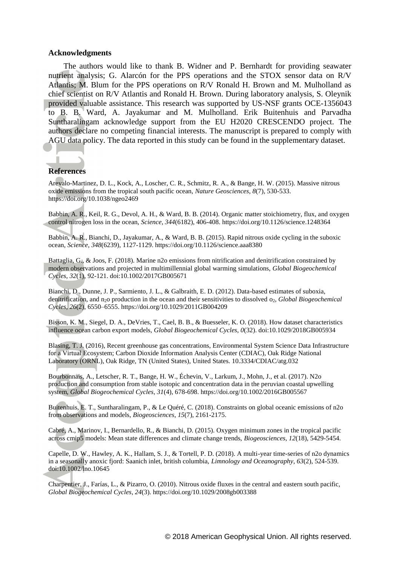#### **Acknowledgments**

The authors would like to thank B. Widner and P. Bernhardt for providing seawater nutrient analysis; G. Alarcón for the PPS operations and the STOX sensor data on R/V Atlantis; M. Blum for the PPS operations on R/V Ronald H. Brown and M. Mulholland as chief scientist on R/V Atlantis and Ronald H. Brown. During laboratory analysis, S. Oleynik provided valuable assistance. This research was supported by US-NSF grants OCE-1356043 to B. B. Ward, A. Jayakumar and M. Mulholland. Erik Buitenhuis and Parvadha Suntharalingam acknowledge support from the EU H2020 CRESCENDO project. The authors declare no competing financial interests. The manuscript is prepared to comply with AGU data policy. The data reported in this study can be found in the supplementary dataset.

## **References**

<span id="page-19-10"></span>Arevalo-Martinez, D. L., Kock, A., Loscher, C. R., Schmitz, R. A., & Bange, H. W. (2015). Massive nitrous oxide emissions from the tropical south pacific ocean, *Nature Geosciences*, *8*(7), 530-533. https://doi.org/10.1038/ngeo2469

<span id="page-19-8"></span>Babbin, A. R., Keil, R. G., Devol, A. H., & Ward, B. B. (2014). Organic matter stoichiometry, flux, and oxygen control nitrogen loss in the ocean, *Science*, *344*(6182), 406-408. https://doi.org/10.1126/science.1248364

<span id="page-19-2"></span>Babbin, A. R., Bianchi, D., Jayakumar, A., & Ward, B. B. (2015). Rapid nitrous oxide cycling in the suboxic ocean, *Science*, *348*(6239), 1127-1129. https://doi.org/10.1126/science.aaa8380

<span id="page-19-1"></span>Battaglia, G., & Joos, F. (2018). Marine n2o emissions from nitrification and denitrification constrained by modern observations and projected in multimillennial global warming simulations, *Global Biogeochemical Cycles*, *32*(1), 92-121. doi:10.1002/2017GB005671

<span id="page-19-5"></span>Bianchi, D., Dunne, J. P., Sarmiento, J. L., & Galbraith, E. D. (2012). Data-based estimates of suboxia, denitrification, and n2o production in the ocean and their sensitivities to dissolved o2, *Global Biogeochemical Cycles*, *26*(2), 6550–6555. https://doi.org/10.1029/2011GB004209

<span id="page-19-6"></span>Bisson, K. M., Siegel, D. A., DeVries, T., Cael, B. B., & Buesseler, K. O. (2018). How dataset characteristics influence ocean carbon export models, *Global Biogeochemical Cycles*, *0*(32). doi:10.1029/2018GB005934

<span id="page-19-0"></span>Blasing, T. J. (2016), Recent greenhouse gas concentrations, Environmental System Science Data Infrastructure for a Virtual Ecosystem; Carbon Dioxide Information Analysis Center (CDIAC), Oak Ridge National Laboratory (ORNL), Oak Ridge, TN (United States), United States. 10.3334/CDIAC/atg.032

<span id="page-19-3"></span>Bourbonnais, A., Letscher, R. T., Bange, H. W., Échevin, V., Larkum, J., Mohn, J., et al. (2017). N2o production and consumption from stable isotopic and concentration data in the peruvian coastal upwelling system, *Global Biogeochemical Cycles*, *31*(4), 678-698. https://doi.org/10.1002/2016GB005567

<span id="page-19-4"></span>Buitenhuis, E. T., Suntharalingam, P., & Le Quéré, C. (2018). Constraints on global oceanic emissions of n2o from observations and models, *Biogeosciences*, *15*(7), 2161-2175.

<span id="page-19-11"></span>Cabré, A., Marinov, I., Bernardello, R., & Bianchi, D. (2015). Oxygen minimum zones in the tropical pacific across cmip5 models: Mean state differences and climate change trends, *Biogeosciences*, *12*(18), 5429-5454.

<span id="page-19-7"></span>Capelle, D. W., Hawley, A. K., Hallam, S. J., & Tortell, P. D. (2018). A multi-year time-series of n2o dynamics in a seasonally anoxic fjord: Saanich inlet, british columbia, *Limnology and Oceanography*, *63*(2), 524-539. doi:10.1002/lno.10645

<span id="page-19-9"></span>Charpentier, J., Farías, L., & Pizarro, O. (2010). Nitrous oxide fluxes in the central and eastern south pacific, *Global Biogeochemical Cycles*, *24*(3). https://doi.org/10.1029/2008gb003388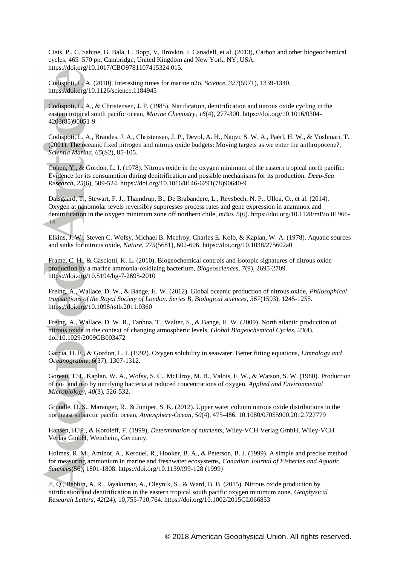<span id="page-20-4"></span>Ciais, P., C. Sabine, G. Bala, L. Bopp, V. Brovkin, J. Canadell, et al. (2013), Carbon and other biogeochemical cycles, 465–570 pp, Cambridge, United Kingdom and New York, NY, USA. https://doi.org/10.1017/CBO9781107415324.015.

<span id="page-20-0"></span>Codispoti, L. A. (2010). Interesting times for marine n2o, *Science*, *327*(5971), 1339-1340. https://doi.org/10.1126/science.1184945

<span id="page-20-2"></span>Codispoti, L. A., & Christensen, J. P. (1985). Nitrification, denitrification and nitrous oxide cycling in the eastern tropical south pacific ocean, *Marine Chemistry*, *16*(4), 277-300. https://doi.org/10.1016/0304- 4203(85)90051-9

<span id="page-20-3"></span>Codispoti, L. A., Brandes, J. A., Christensen, J. P., Devol, A. H., Naqvi, S. W. A., Paerl, H. W., & Yoshinari, T. (2001). The oceanic fixed nitrogen and nitrous oxide budgets: Moving targets as we enter the anthropocene?, *Scientia Marina*, *65*(S2), 85-105.

<span id="page-20-7"></span>Cohen, Y., & Gordon, L. I. (1978). Nitrous oxide in the oxygen minimum of the eastern tropical north pacific: Evidence for its consumption during denitrification and possible mechanisms for its production, *Deep-Sea Research*, *25*(6), 509-524. https://doi.org/10.1016/0146-6291(78)90640-9

<span id="page-20-13"></span>Dalsgaard, T., Stewart, F. J., Thamdrup, B., De Brabandere, L., Revsbech, N. P., Ulloa, O., et al. (2014). Oxygen at nanomolar levels reversibly suppresses process rates and gene expression in anammox and denitrification in the oxygen minimum zone off northern chile, *mBio*, *5*(6). https://doi.org/10.1128/mBio.01966- 14

<span id="page-20-1"></span>Elkins, J. W., Steven C. Wofsy, Michael B. Mcelroy, Charles E. Kolb, & Kaplan, W. A. (1978). Aquatic sources and sinks for nitrous oxide, *Nature*, *275*(5681), 602-606. https://doi.org/10.1038/275602a0

<span id="page-20-6"></span>Frame, C. H., & Casciotti, K. L. (2010). Biogeochemical controls and isotopic signatures of nitrous oxide production by a marine ammonia-oxidizing bacterium, *Biogeosciences*, *7*(9), 2695-2709. https://doi.org/10.5194/bg-7-2695-2010

<span id="page-20-8"></span>Freing, A., Wallace, D. W., & Bange, H. W. (2012). Global oceanic production of nitrous oxide, *Philosophical transactions of the Royal Society of London. Series B, Biological sciences*, *367*(1593), 1245-1255. https://doi.org/10.1098/rstb.2011.0360

<span id="page-20-14"></span>Freing, A., Wallace, D. W. R., Tanhua, T., Walter, S., & Bange, H. W. (2009). North atlantic production of nitrous oxide in the context of changing atmospheric levels, *Global Biogeochemical Cycles*, *23*(4). doi:10.1029/2009GB003472

<span id="page-20-12"></span>Garcia, H. E., & Gordon, L. I. (1992). Oxygen solubility in seawater: Better fitting equations, *Limnology and Oceanography*, *6*(37), 1307-1312.

<span id="page-20-5"></span>Goreau, T. J., Kaplan, W. A., Wofsy, S. C., McElroy, M. B., Valois, F. W., & Watson, S. W. (1980). Production of no<sub>2</sub> and n<sub>2</sub>o by nitrifying bacteria at reduced concentrations of oxygen, *Applied and Environmental Microbiology*, *40*(3), 526-532.

<span id="page-20-15"></span>Grundle, D. S., Maranger, R., & Juniper, S. K. (2012). Upper water column nitrous oxide distributions in the northeast subarctic pacific ocean, *Atmosphere-Ocean*, *50*(4), 475-486. 10.1080/07055900.2012.727779

<span id="page-20-11"></span>Hansen, H. P., & Koroleff, F. (1999), *Determination of nutrients*, Wiley-VCH Verlag GmbH, Wiley-VCH Verlag GmbH, Weinheim, Germany.

<span id="page-20-10"></span>Holmes, R. M., Aminot, A., Kerouel, R., Hooker, B. A., & Peterson, B. J. (1999). A simple and precise method for measuring ammonium in marine and freshwater ecosystems, *Canadian Journal of Fisheries and Aquatic Sciences*(56), 1801-1808. https://doi.org/10.1139/f99-128 (1999)

<span id="page-20-9"></span>Ji, Q., Babbin, A. R., Jayakumar, A., Oleynik, S., & Ward, B. B. (2015). Nitrous oxide production by nitrification and denitrification in the eastern tropical south pacific oxygen minimum zone, *Geophysical Research Letters*, *42*(24), 10,755-710,764. https://doi.org/10.1002/2015GL066853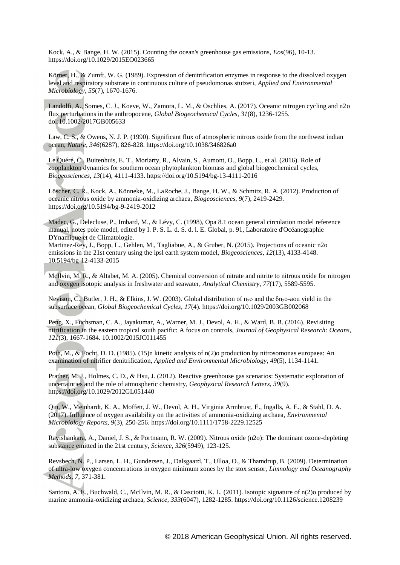<span id="page-21-10"></span>Kock, A., & Bange, H. W. (2015). Counting the ocean's greenhouse gas emissions, *Eos*(96), 10-13. https://doi.org/10.1029/2015EO023665

<span id="page-21-15"></span>Körner, H., & Zumft, W. G. (1989). Expression of denitrification enzymes in response to the dissolved oxygen level and respiratory substrate in continuous culture of pseudomonas stutzeri, *Applied and Environmental Microbiology*, *55*(7), 1670-1676.

<span id="page-21-3"></span>Landolfi, A., Somes, C. J., Koeve, W., Zamora, L. M., & Oschlies, A. (2017). Oceanic nitrogen cycling and n2o flux perturbations in the anthropocene, *Global Biogeochemical Cycles*, *31*(8), 1236-1255. doi:10.1002/2017GB005633

<span id="page-21-2"></span>Law, C. S., & Owens, N. J. P. (1990). Significant flux of atmospheric nitrous oxide from the northwest indian ocean, *Nature*, *346*(6287), 826-828. https://doi.org/10.1038/346826a0

<span id="page-21-9"></span>Le Quéré, C., Buitenhuis, E. T., Moriarty, R., Alvain, S., Aumont, O., Bopp, L., et al. (2016). Role of zooplankton dynamics for southern ocean phytoplankton biomass and global biogeochemical cycles, *Biogeosciences*, *13*(14), 4111-4133. https://doi.org/10.5194/bg-13-4111-2016

<span id="page-21-4"></span>Löscher, C. R., Kock, A., Könneke, M., LaRoche, J., Bange, H. W., & Schmitz, R. A. (2012). Production of oceanic nitrous oxide by ammonia-oxidizing archaea, *Biogeosciences*, *9*(7), 2419-2429. https://doi.org/10.5194/bg-9-2419-2012

<span id="page-21-8"></span>Madec, G., Delecluse, P., Imbard, M., & Lévy, C. (1998), Opa 8.1 ocean general circulation model reference manual, notes pole model, edited by I. P. S. L. d. S. d. l. E. Global, p. 91, Laboratoire d'Océanographie DYnamique et de Climatologie.

<span id="page-21-16"></span>Martinez-Rey, J., Bopp, L., Gehlen, M., Tagliabue, A., & Gruber, N. (2015). Projections of oceanic n2o emissions in the 21st century using the ipsl earth system model, *Biogeosciences*, *12*(13), 4133-4148. 10.5194/bg-12-4133-2015

<span id="page-21-7"></span>McIlvin, M. R., & Altabet, M. A. (2005). Chemical conversion of nitrate and nitrite to nitrous oxide for nitrogen and oxygen isotopic analysis in freshwater and seawater, *Analytical Chemistry*, *77*(17), 5589-5595.

<span id="page-21-11"></span>Nevison, C., Butler, J. H., & Elkins, J. W. (2003). Global distribution of n<sub>2</sub>o and the  $\delta$ n<sub>2</sub>o-aou yield in the subsurface ocean, *Global Biogeochemical Cycles*, *17*(4). https://doi.org/10.1029/2003GB002068

<span id="page-21-12"></span>Peng, X., Fuchsman, C. A., Jayakumar, A., Warner, M. J., Devol, A. H., & Ward, B. B. (2016). Revisiting nitrification in the eastern tropical south pacific: A focus on controls, *Journal of Geophysical Research: Oceans*, *121*(3), 1667-1684. 10.1002/2015JC011455

<span id="page-21-5"></span>Poth, M., & Focht, D. D. (1985). (15)n kinetic analysis of n(2)o production by nitrosomonas europaea: An examination of nitrifier denitrification, *Applied and Environmental Microbiology*, *49*(5), 1134-1141.

<span id="page-21-1"></span>Prather, M. J., Holmes, C. D., & Hsu, J. (2012). Reactive greenhouse gas scenarios: Systematic exploration of uncertainties and the role of atmospheric chemistry, *Geophysical Research Letters*, *39*(9). https://doi.org/10.1029/2012GL051440

<span id="page-21-14"></span>Qin, W., Meinhardt, K. A., Moffett, J. W., Devol, A. H., Virginia Armbrust, E., Ingalls, A. E., & Stahl, D. A. (2017). Influence of oxygen availability on the activities of ammonia-oxidizing archaea, *Environmental Microbiology Reports*, *9*(3), 250-256. https://doi.org/10.1111/1758-2229.12525

<span id="page-21-0"></span>Ravishankara, A., Daniel, J. S., & Portmann, R. W. (2009). Nitrous oxide (n2o): The dominant ozone-depleting substance emitted in the 21st century, *Science*, *326*(5949), 123-125.

<span id="page-21-6"></span>Revsbech, N. P., Larsen, L. H., Gundersen, J., Dalsgaard, T., Ulloa, O., & Thamdrup, B. (2009). Determination of ultra-low oxygen concentrations in oxygen minimum zones by the stox sensor, *Limnology and Oceanography Methods*, *7*, 371-381.

<span id="page-21-13"></span>Santoro, A. E., Buchwald, C., McIlvin, M. R., & Casciotti, K. L. (2011). Isotopic signature of n(2)o produced by marine ammonia-oxidizing archaea, *Science*, *333*(6047), 1282-1285. https://doi.org/10.1126/science.1208239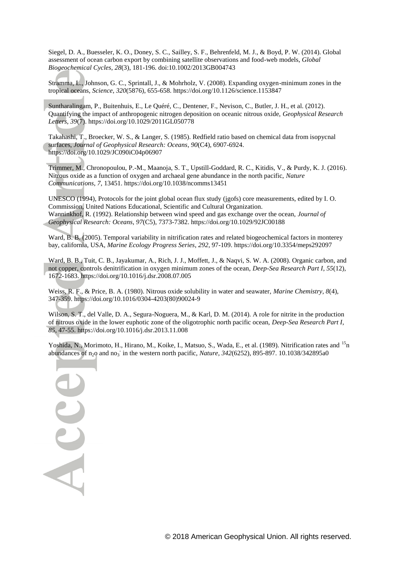<span id="page-22-3"></span>Siegel, D. A., Buesseler, K. O., Doney, S. C., Sailley, S. F., Behrenfeld, M. J., & Boyd, P. W. (2014). Global assessment of ocean carbon export by combining satellite observations and food-web models, *Global Biogeochemical Cycles*, *28*(3), 181-196. doi:10.1002/2013GB004743

<span id="page-22-11"></span>Stramma, L., Johnson, G. C., Sprintall, J., & Mohrholz, V. (2008). Expanding oxygen-minimum zones in the tropical oceans, *Science*, *320*(5876), 655-658. https://doi.org/10.1126/science.1153847

<span id="page-22-1"></span>Suntharalingam, P., Buitenhuis, E., Le Quéré, C., Dentener, F., Nevison, C., Butler, J. H., et al. (2012). Quantifying the impact of anthropogenic nitrogen deposition on oceanic nitrous oxide, *Geophysical Research Letters*, *39*(7). https://doi.org/10.1029/2011GL050778

<span id="page-22-4"></span>Takahashi, T., Broecker, W. S., & Langer, S. (1985). Redfield ratio based on chemical data from isopycnal surfaces, *Journal of Geophysical Research: Oceans*, *90*(C4), 6907-6924. https://doi.org/10.1029/JC090iC04p06907

<span id="page-22-10"></span>Trimmer, M., Chronopoulou, P.-M., Maanoja, S. T., Upstill-Goddard, R. C., Kitidis, V., & Purdy, K. J. (2016). Nitrous oxide as a function of oxygen and archaeal gene abundance in the north pacific, *Nature Communications*, *7*, 13451. https://doi.org/10.1038/ncomms13451

<span id="page-22-6"></span><span id="page-22-2"></span>UNESCO (1994), Protocols for the joint global ocean flux study (jgofs) core measurements, edited by I. O. Commission, United Nations Educational, Scientific and Cultural Organization. Wanninkhof, R. (1992). Relationship between wind speed and gas exchange over the ocean, *Journal of Geophysical Research: Oceans*, *97*(C5), 7373-7382. https://doi.org/10.1029/92JC00188

<span id="page-22-7"></span>Ward, B. B. (2005). Temporal variability in nitrification rates and related biogeochemical factors in monterey bay, california, USA, *Marine Ecology Progress Series*, *292*, 97-109. https://doi.org/10.3354/meps292097

<span id="page-22-9"></span>Ward, B. B., Tuit, C. B., Jayakumar, A., Rich, J. J., Moffett, J., & Naqvi, S. W. A. (2008). Organic carbon, and not copper, controls denitrification in oxygen minimum zones of the ocean, *Deep-Sea Research Part I*, *55*(12), 1672-1683. https://doi.org/10.1016/j.dsr.2008.07.005

<span id="page-22-5"></span>Weiss, R. F., & Price, B. A. (1980). Nitrous oxide solubility in water and seawater, *Marine Chemistry*, *8*(4), 347-359. https://doi.org/10.1016/0304-4203(80)90024-9

<span id="page-22-0"></span>Wilson, S. T., del Valle, D. A., Segura-Noguera, M., & Karl, D. M. (2014). A role for nitrite in the production of nitrous oxide in the lower euphotic zone of the oligotrophic north pacific ocean, *Deep-Sea Research Part I*, *85*, 47-55. https://doi.org/10.1016/j.dsr.2013.11.008

<span id="page-22-8"></span>Yoshida, N., Morimoto, H., Hirano, M., Koike, I., Matsuo, S., Wada, E., et al. (1989). Nitrification rates and <sup>15</sup>n abundances of n<sub>2</sub>o and no<sub>3</sub> in the western north pacific, *Nature*, 342(6252), 895-897. 10.1038/342895a0

Acce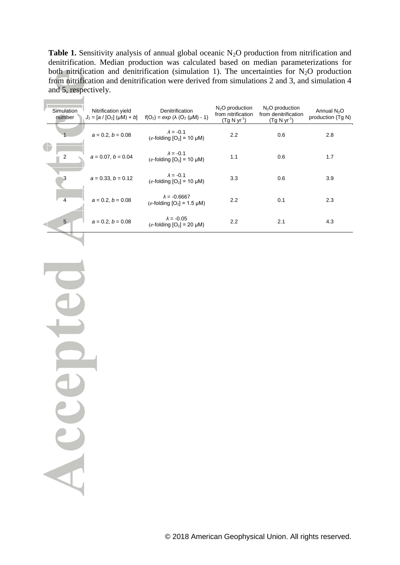**Table 1.** Sensitivity analysis of annual global oceanic N<sub>2</sub>O production from nitrification and denitrification. Median production was calculated based on median parameterizations for both nitrification and denitrification (simulation 1). The uncertainties for  $N_2O$  production from nitrification and denitrification were derived from simulations 2 and 3, and simulation 4 and 5, respectively.

|  | Simulation<br>number | Nitrification yield<br>$J_1 = [a / [O_2] (\mu M) + b]$ | Denitrification<br>$f(O_2) = exp (\lambda (O_2 (\mu M) - 1)$ | $N2O$ production<br>from nitrification<br>$(Tg N yr-1)$ | $N2O$ production<br>from denitrification<br>$(Tg N yr-1)$ | Annual $N2O$<br>production (Tg N) |
|--|----------------------|--------------------------------------------------------|--------------------------------------------------------------|---------------------------------------------------------|-----------------------------------------------------------|-----------------------------------|
|  |                      | $a = 0.2, b = 0.08$                                    | $\lambda = -0.1$<br>$(e$ -folding $[O_2]$ = 10 µM)           | 2.2                                                     | 0.6                                                       | 2.8                               |
|  | 2                    | $a = 0.07, b = 0.04$                                   | $\lambda = -0.1$<br>$(e$ -folding $[O_2] = 10 \mu M$ )       | 1.1                                                     | 0.6                                                       | 1.7                               |
|  | 3                    | $a = 0.33$ , $b = 0.12$                                | $\lambda = -0.1$<br>$(e$ -folding $[O_2] = 10 \mu M$ )       | 3.3                                                     | 0.6                                                       | 3.9                               |
|  | $\overline{4}$       | $a = 0.2, b = 0.08$                                    | $\lambda = -0.6667$<br>$(e$ -folding $[O_2] = 1.5 \mu M$ )   | 2.2                                                     | 0.1                                                       | 2.3                               |
|  | 5                    | $a = 0.2, b = 0.08$                                    | $\lambda = -0.05$<br>$(e$ -folding $[O_2] = 20 \mu M$ )      | 2.2                                                     | 2.1                                                       | 4.3                               |

te ICCCEDI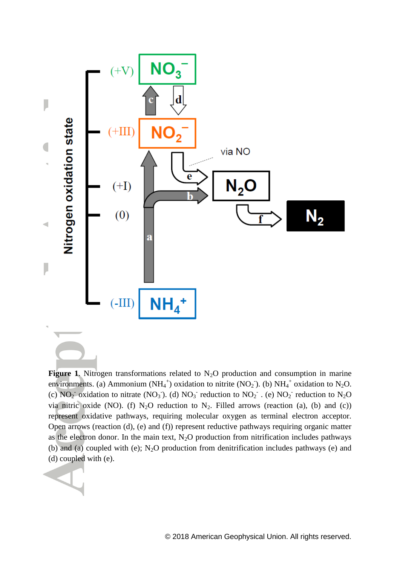

Figure 1. Nitrogen transformations related to N<sub>2</sub>O production and consumption in marine environments. (a) Ammonium (NH<sub>4</sub><sup>+</sup>) oxidation to nitrite (NO<sub>2</sub>). (b) NH<sub>4</sub><sup>+</sup> oxidation to N<sub>2</sub>O. (c)  $NO_2$ <sup>-</sup> oxidation to nitrate ( $NO_3$ <sup>-</sup>). (d)  $NO_3$ <sup>-</sup> reduction to  $NO_2$ <sup>-</sup> . (e)  $NO_2$ <sup>-</sup> reduction to  $N_2O$ via nitric oxide (NO). (f)  $N_2O$  reduction to  $N_2$ . Filled arrows (reaction (a), (b) and (c)) represent oxidative pathways, requiring molecular oxygen as terminal electron acceptor. Open arrows (reaction (d), (e) and (f)) represent reductive pathways requiring organic matter as the electron donor. In the main text,  $N_2O$  production from nitrification includes pathways (b) and (a) coupled with (e);  $N_2O$  production from denitrification includes pathways (e) and (d) coupled with (e).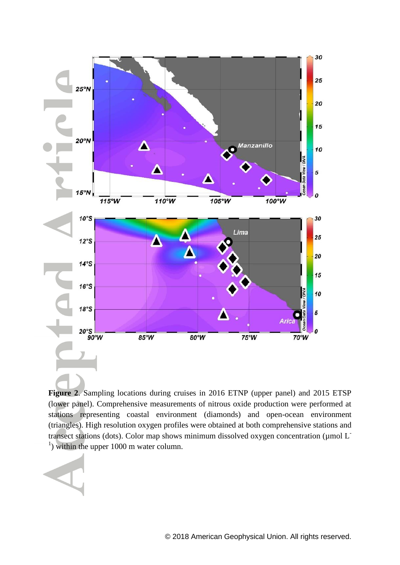

**Figure 2**. Sampling locations during cruises in 2016 ETNP (upper panel) and 2015 ETSP (lower panel). Comprehensive measurements of nitrous oxide production were performed at stations representing coastal environment (diamonds) and open-ocean environment (triangles). High resolution oxygen profiles were obtained at both comprehensive stations and transect stations (dots). Color map shows minimum dissolved oxygen concentration (µmol L<sup>-</sup>  $<sup>1</sup>$ ) within the upper 1000 m water column.</sup>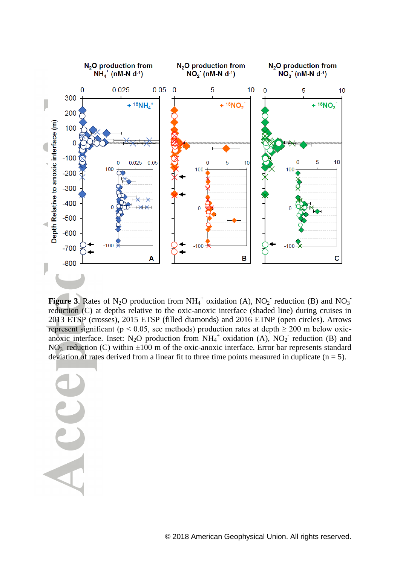

**Figure 3.** Rates of N<sub>2</sub>O production from  $NH_4^+$  oxidation (A),  $NO_2^-$  reduction (B) and  $NO_3^$ reduction (C) at depths relative to the oxic-anoxic interface (shaded line) during cruises in 2013 ETSP (crosses), 2015 ETSP (filled diamonds) and 2016 ETNP (open circles). Arrows represent significant ( $p < 0.05$ , see methods) production rates at depth  $\geq 200$  m below oxicanoxic interface. Inset: N<sub>2</sub>O production from  $NH_4^+$  oxidation (A), NO<sub>2</sub> reduction (B) and NO<sub>3</sub> reduction (C) within  $\pm 100$  m of the oxic-anoxic interface. Error bar represents standard deviation of rates derived from a linear fit to three time points measured in duplicate  $(n = 5)$ .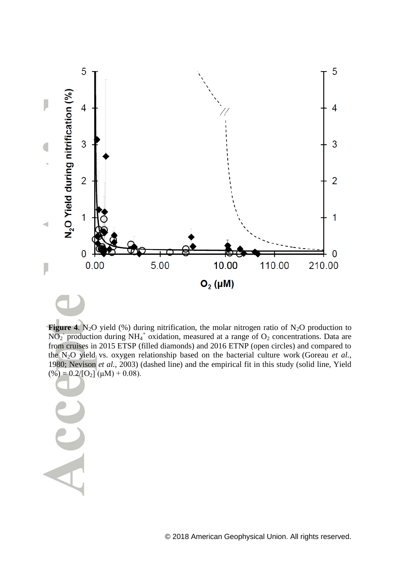

**Figure 4.** N<sub>2</sub>O yield (%) during nitrification, the molar nitrogen ratio of N<sub>2</sub>O production to  $NO<sub>2</sub>$  production during NH<sub>4</sub><sup>+</sup> oxidation, measured at a range of  $O<sub>2</sub>$  concentrations. Data are from cruises in 2015 ETSP (filled diamonds) and 2016 ETNP (open circles) and compared to the N2O yield vs. oxygen relationship based on the bacterial culture work [\(Goreau](#page-20-5) *et al.*, [1980;](#page-20-5) [Nevison](#page-21-11) *et al.*, 2003) (dashed line) and the empirical fit in this study (solid line, Yield  $(\%)=0.2/[O_2](\mu M)+0.08).$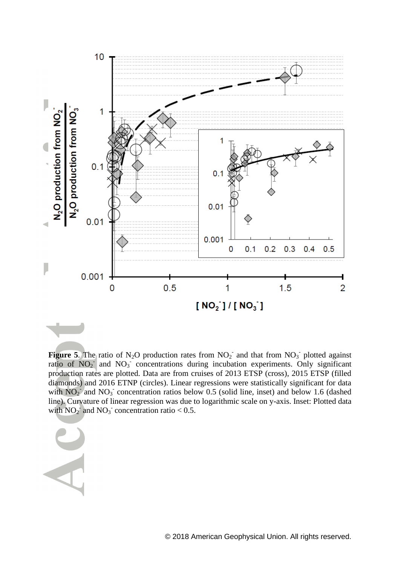

**Figure 5.** The ratio of N<sub>2</sub>O production rates from  $NO_2$  and that from  $NO_3$  plotted against ratio of  $NO<sub>2</sub>$  and  $NO<sub>3</sub>$  concentrations during incubation experiments. Only significant production rates are plotted. Data are from cruises of 2013 ETSP (cross), 2015 ETSP (filled diamonds) and 2016 ETNP (circles). Linear regressions were statistically significant for data with  $NO<sub>2</sub>$  and  $NO<sub>3</sub>$  concentration ratios below 0.5 (solid line, inset) and below 1.6 (dashed line). Curvature of linear regression was due to logarithmic scale on y-axis. Inset: Plotted data with  $NO_2^{\dagger}$  and  $NO_3^{\dagger}$  concentration ratio < 0.5.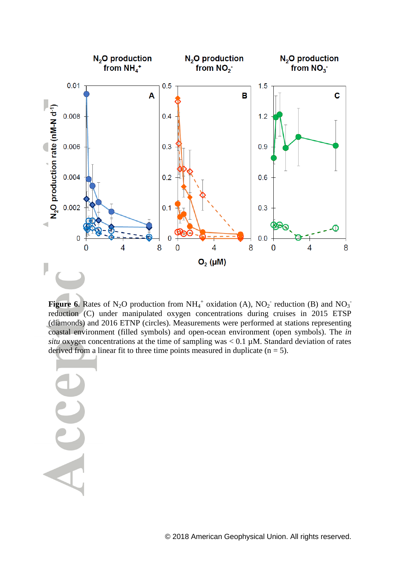

**Figure 6.** Rates of N<sub>2</sub>O production from  $NH_4^+$  oxidation (A),  $NO_2^-$  reduction (B) and  $NO_3^$ reduction (C) under manipulated oxygen concentrations during cruises in 2015 ETSP (diamonds) and 2016 ETNP (circles). Measurements were performed at stations representing coastal environment (filled symbols) and open-ocean environment (open symbols). The *in situ* oxygen concentrations at the time of sampling was  $< 0.1 \mu M$ . Standard deviation of rates derived from a linear fit to three time points measured in duplicate  $(n = 5)$ .